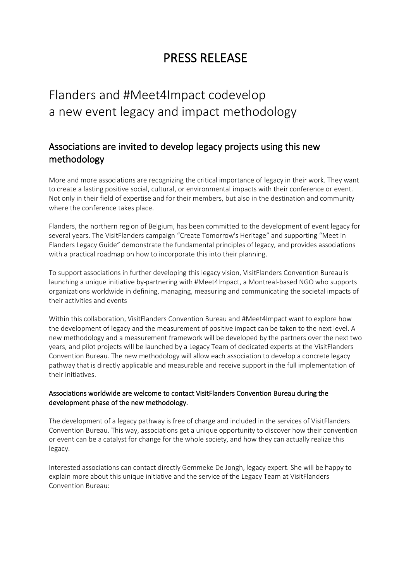# PRESS RELEASE

# Flanders and #Meet4Impact codevelop a new event legacy and impact methodology

## Associations are invited to develop legacy projects using this new methodology

More and more associations are recognizing the critical importance of legacy in their work. They want to create a lasting positive social, cultural, or environmental impacts with their conference or event. Not only in their field of expertise and for their members, but also in the destination and community where the conference takes place.

Flanders, the northern region of Belgium, has been committed to the development of event legacy for several years. The VisitFlanders campaign "Create Tomorrow's Heritage" and supporting "Meet in Flanders Legacy Guide" demonstrate the fundamental principles of legacy, and provides associations with a practical roadmap on how to incorporate this into their planning.

To support associations in further developing this legacy vision, VisitFlanders Convention Bureau is launching a unique initiative by-partnering with #Meet4Impact, a Montreal-based NGO who supports organizations worldwide in defining, managing, measuring and communicating the societal impacts of their activities and events

Within this collaboration, VisitFlanders Convention Bureau and #Meet4Impact want to explore how the development of legacy and the measurement of positive impact can be taken to the next level. A new methodology and a measurement framework will be developed by the partners over the next two years, and pilot projects will be launched by a Legacy Team of dedicated experts at the VisitFlanders Convention Bureau. The new methodology will allow each association to develop a concrete legacy pathway that is directly applicable and measurable and receive support in the full implementation of their initiatives.

### Associations worldwide are welcome to contact VisitFlanders Convention Bureau during the development phase of the new methodology.

The development of a legacy pathway is free of charge and included in the services of VisitFlanders Convention Bureau. This way, associations get a unique opportunity to discover how their convention or event can be a catalyst for change for the whole society, and how they can actually realize this legacy.

Interested associations can contact directly Gemmeke De Jongh, legacy expert. She will be happy to explain more about this unique initiative and the service of the Legacy Team at VisitFlanders Convention Bureau: